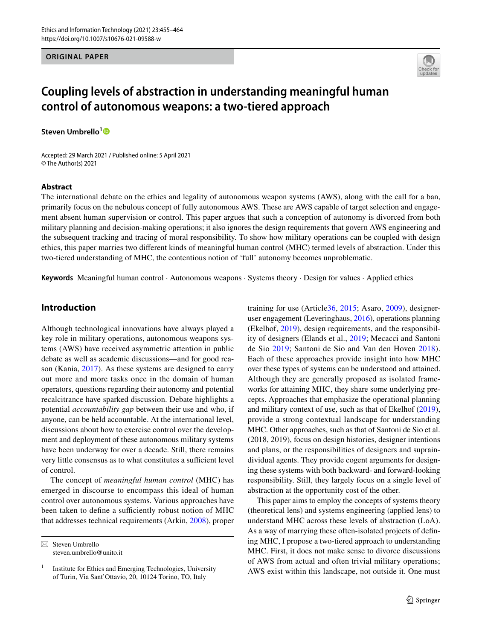### **ORIGINAL PAPER**



# **Coupling levels of abstraction in understanding meaningful human control of autonomous weapons: a two‑tiered approach**

**Steven Umbrello[1](http://orcid.org/0000-0003-2594-6313)**

Accepted: 29 March 2021 / Published online: 5 April 2021 © The Author(s) 2021

#### **Abstract**

The international debate on the ethics and legality of autonomous weapon systems (AWS), along with the call for a ban, primarily focus on the nebulous concept of fully autonomous AWS. These are AWS capable of target selection and engagement absent human supervision or control. This paper argues that such a conception of autonomy is divorced from both military planning and decision-making operations; it also ignores the design requirements that govern AWS engineering and the subsequent tracking and tracing of moral responsibility. To show how military operations can be coupled with design ethics, this paper marries two diferent kinds of meaningful human control (MHC) termed levels of abstraction. Under this two-tiered understanding of MHC, the contentious notion of 'full' autonomy becomes unproblematic.

**Keywords** Meaningful human control · Autonomous weapons · Systems theory · Design for values · Applied ethics

# **Introduction**

Although technological innovations have always played a key role in military operations, autonomous weapons systems (AWS) have received asymmetric attention in public debate as well as academic discussions—and for good reason (Kania, [2017](#page-9-0)). As these systems are designed to carry out more and more tasks once in the domain of human operators, questions regarding their autonomy and potential recalcitrance have sparked discussion. Debate highlights a potential *accountability gap* between their use and who, if anyone, can be held accountable. At the international level, discussions about how to exercise control over the development and deployment of these autonomous military systems have been underway for over a decade. Still, there remains very little consensus as to what constitutes a sufficient level of control.

The concept of *meaningful human control* (MHC) has emerged in discourse to encompass this ideal of human control over autonomous systems. Various approaches have been taken to define a sufficiently robust notion of MHC that addresses technical requirements (Arkin, [2008\)](#page-8-0), proper

 $\boxtimes$  Steven Umbrello steven.umbrello@unito.it training for use (Article[36](#page-9-1), [2015](#page-9-1); Asaro, [2009](#page-9-2)), designeruser engagement (Leveringhaus, [2016](#page-9-3)), operations planning (Ekelhof, [2019](#page-9-4)), design requirements, and the responsibility of designers (Elands et al., [2019;](#page-9-5) Mecacci and Santoni de Sio [2019;](#page-9-6) Santoni de Sio and Van den Hoven [2018](#page-9-7)). Each of these approaches provide insight into how MHC over these types of systems can be understood and attained. Although they are generally proposed as isolated frameworks for attaining MHC, they share some underlying precepts. Approaches that emphasize the operational planning and military context of use, such as that of Ekelhof [\(2019](#page-9-4)), provide a strong contextual landscape for understanding MHC. Other approaches, such as that of Santoni de Sio et al. (2018, 2019), focus on design histories, designer intentions and plans, or the responsibilities of designers and supraindividual agents. They provide cogent arguments for designing these systems with both backward- and forward-looking responsibility. Still, they largely focus on a single level of abstraction at the opportunity cost of the other.

This paper aims to employ the concepts of systems theory (theoretical lens) and systems engineering (applied lens) to understand MHC across these levels of abstraction (LoA). As a way of marrying these often-isolated projects of defning MHC, I propose a two-tiered approach to understanding MHC. First, it does not make sense to divorce discussions of AWS from actual and often trivial military operations; AWS exist within this landscape, not outside it. One must

 $1$  Institute for Ethics and Emerging Technologies, University of Turin, Via Sant'Ottavio, 20, 10124 Torino, TO, Italy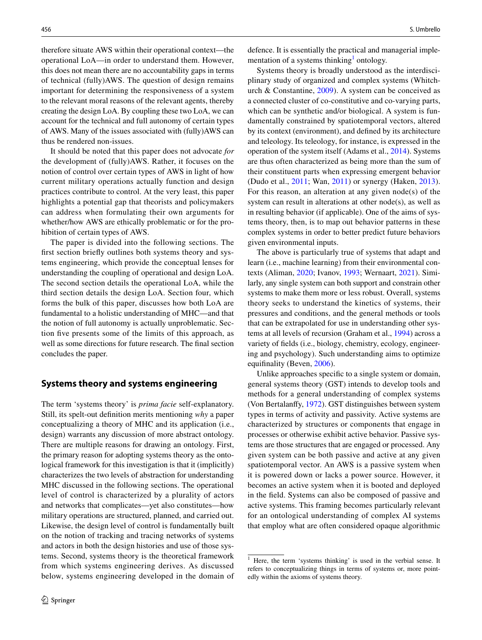therefore situate AWS within their operational context—the operational LoA—in order to understand them. However, this does not mean there are no accountability gaps in terms of technical (fully)AWS. The question of design remains important for determining the responsiveness of a system to the relevant moral reasons of the relevant agents, thereby creating the design LoA. By coupling these two LoA, we can account for the technical and full autonomy of certain types of AWS. Many of the issues associated with (fully)AWS can thus be rendered non-issues.

It should be noted that this paper does not advocate *for* the development of (fully)AWS. Rather, it focuses on the notion of control over certain types of AWS in light of how current military operations actually function and design practices contribute to control. At the very least, this paper highlights a potential gap that theorists and policymakers can address when formulating their own arguments for whether/how AWS are ethically problematic or for the prohibition of certain types of AWS.

The paper is divided into the following sections. The frst section briefy outlines both systems theory and systems engineering, which provide the conceptual lenses for understanding the coupling of operational and design LoA. The second section details the operational LoA, while the third section details the design LoA. Section four, which forms the bulk of this paper, discusses how both LoA are fundamental to a holistic understanding of MHC—and that the notion of full autonomy is actually unproblematic. Section fve presents some of the limits of this approach, as well as some directions for future research. The fnal section concludes the paper.

# **Systems theory and systems engineering**

The term 'systems theory' is *prima facie* self-explanatory. Still, its spelt-out defnition merits mentioning *why* a paper conceptualizing a theory of MHC and its application (i.e., design) warrants any discussion of more abstract ontology. There are multiple reasons for drawing an ontology. First, the primary reason for adopting systems theory as the ontological framework for this investigation is that it (implicitly) characterizes the two levels of abstraction for understanding MHC discussed in the following sections. The operational level of control is characterized by a plurality of actors and networks that complicates—yet also constitutes—how military operations are structured, planned, and carried out. Likewise, the design level of control is fundamentally built on the notion of tracking and tracing networks of systems and actors in both the design histories and use of those systems. Second, systems theory is the theoretical framework from which systems engineering derives. As discussed below, systems engineering developed in the domain of defence. It is essentially the practical and managerial imple-mentation of a systems thinking<sup>[1](#page-1-0)</sup> ontology.

Systems theory is broadly understood as the interdisciplinary study of organized and complex systems (Whitchurch & Constantine, [2009](#page-9-8)). A system can be conceived as a connected cluster of co-constitutive and co-varying parts, which can be synthetic and/or biological. A system is fundamentally constrained by spatiotemporal vectors, altered by its context (environment), and defned by its architecture and teleology. Its teleology, for instance, is expressed in the operation of the system itself (Adams et al., [2014\)](#page-8-1). Systems are thus often characterized as being more than the sum of their constituent parts when expressing emergent behavior (Dudo et al., [2011;](#page-9-9) Wan, [2011\)](#page-9-10) or synergy (Haken, [2013](#page-9-11)). For this reason, an alteration at any given node(s) of the system can result in alterations at other node(s), as well as in resulting behavior (if applicable). One of the aims of systems theory, then, is to map out behavior patterns in these complex systems in order to better predict future behaviors given environmental inputs.

The above is particularly true of systems that adapt and learn (i.e., machine learning) from their environmental contexts (Aliman, [2020;](#page-8-2) Ivanov, [1993;](#page-9-12) Wernaart, [2021](#page-9-13)). Similarly, any single system can both support and constrain other systems to make them more or less robust. Overall, systems theory seeks to understand the kinetics of systems, their pressures and conditions, and the general methods or tools that can be extrapolated for use in understanding other systems at all levels of recursion (Graham et al., [1994\)](#page-9-14) across a variety of felds (i.e., biology, chemistry, ecology, engineering and psychology). Such understanding aims to optimize equifinality (Beven, [2006](#page-9-15)).

Unlike approaches specifc to a single system or domain, general systems theory (GST) intends to develop tools and methods for a general understanding of complex systems (Von Bertalanfy, [1972\)](#page-9-16). GST distinguishes between system types in terms of activity and passivity. Active systems are characterized by structures or components that engage in processes or otherwise exhibit active behavior. Passive systems are those structures that are engaged or processed. Any given system can be both passive and active at any given spatiotemporal vector. An AWS is a passive system when it is powered down or lacks a power source. However, it becomes an active system when it is booted and deployed in the feld. Systems can also be composed of passive and active systems. This framing becomes particularly relevant for an ontological understanding of complex AI systems that employ what are often considered opaque algorithmic

<span id="page-1-0"></span><sup>1</sup> Here, the term 'systems thinking' is used in the verbial sense. It refers to conceptualizing things in terms of systems or, more pointedly within the axioms of systems theory.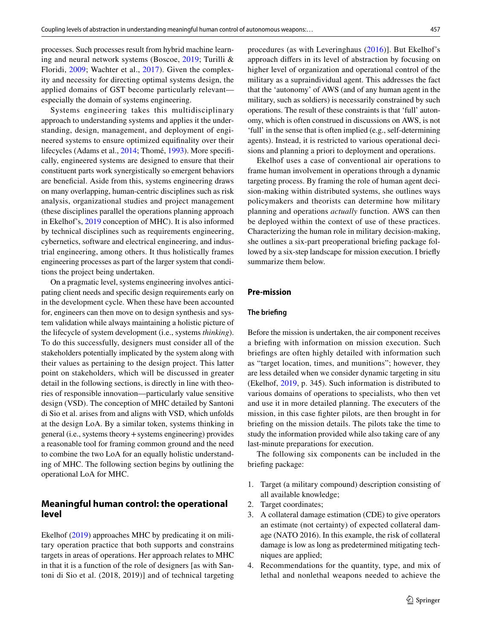processes. Such processes result from hybrid machine learning and neural network systems (Boscoe, [2019](#page-9-17); Turilli & Floridi, [2009](#page-9-18); Wachter et al., [2017\)](#page-9-19). Given the complexity and necessity for directing optimal systems design, the applied domains of GST become particularly relevant especially the domain of systems engineering.

Systems engineering takes this multidisciplinary approach to understanding systems and applies it the understanding, design, management, and deployment of engineered systems to ensure optimized equifnality over their lifecycles (Adams et al., [2014](#page-8-1); Thomé, [1993](#page-9-20)). More specifcally, engineered systems are designed to ensure that their constituent parts work synergistically so emergent behaviors are benefcial. Aside from this, systems engineering draws on many overlapping, human-centric disciplines such as risk analysis, organizational studies and project management (these disciplines parallel the operations planning approach in Ekelhof's, [2019](#page-9-4) conception of MHC). It is also informed by technical disciplines such as requirements engineering, cybernetics, software and electrical engineering, and industrial engineering, among others. It thus holistically frames engineering processes as part of the larger system that conditions the project being undertaken.

On a pragmatic level, systems engineering involves anticipating client needs and specifc design requirements early on in the development cycle. When these have been accounted for, engineers can then move on to design synthesis and system validation while always maintaining a holistic picture of the lifecycle of system development (i.e., systems *thinking*). To do this successfully, designers must consider all of the stakeholders potentially implicated by the system along with their values as pertaining to the design project. This latter point on stakeholders, which will be discussed in greater detail in the following sections, is directly in line with theories of responsible innovation—particularly value sensitive design (VSD). The conception of MHC detailed by Santoni di Sio et al. arises from and aligns with VSD, which unfolds at the design LoA. By a similar token, systems thinking in general (i.e., systems theory+systems engineering) provides a reasonable tool for framing common ground and the need to combine the two LoA for an equally holistic understanding of MHC. The following section begins by outlining the operational LoA for MHC.

# **Meaningful human control: the operational level**

Ekelhof ([2019](#page-9-4)) approaches MHC by predicating it on military operation practice that both supports and constrains targets in areas of operations. Her approach relates to MHC in that it is a function of the role of designers [as with Santoni di Sio et al. (2018, 2019)] and of technical targeting procedures (as with Leveringhaus ([2016](#page-9-3))]. But Ekelhof's approach difers in its level of abstraction by focusing on higher level of organization and operational control of the military as a supraindividual agent. This addresses the fact that the 'autonomy' of AWS (and of any human agent in the military, such as soldiers) is necessarily constrained by such operations. The result of these constraints is that 'full' autonomy, which is often construed in discussions on AWS, is not 'full' in the sense that is often implied (e.g., self-determining agents). Instead, it is restricted to various operational decisions and planning a priori to deployment and operations.

Ekelhof uses a case of conventional air operations to frame human involvement in operations through a dynamic targeting process. By framing the role of human agent decision-making within distributed systems, she outlines ways policymakers and theorists can determine how military planning and operations *actually* function. AWS can then be deployed within the context of use of these practices. Characterizing the human role in military decision-making, she outlines a six-part preoperational briefng package followed by a six-step landscape for mission execution. I briefy summarize them below.

### **Pre‑mission**

### **The briefng**

Before the mission is undertaken, the air component receives a briefng with information on mission execution. Such briefngs are often highly detailed with information such as "target location, times, and munitions"; however, they are less detailed when we consider dynamic targeting in situ (Ekelhof, [2019](#page-9-4), p. 345). Such information is distributed to various domains of operations to specialists, who then vet and use it in more detailed planning. The executers of the mission, in this case fghter pilots, are then brought in for briefng on the mission details. The pilots take the time to study the information provided while also taking care of any last-minute preparations for execution.

The following six components can be included in the briefng package:

- 1. Target (a military compound) description consisting of all available knowledge;
- 2. Target coordinates;
- 3. A collateral damage estimation (CDE) to give operators an estimate (not certainty) of expected collateral damage (NATO 2016). In this example, the risk of collateral damage is low as long as predetermined mitigating techniques are applied;
- 4. Recommendations for the quantity, type, and mix of lethal and nonlethal weapons needed to achieve the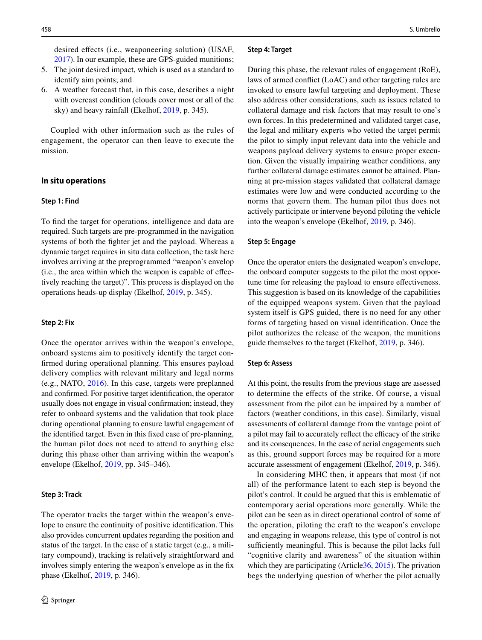desired efects (i.e., weaponeering solution) (USAF, [2017\)](#page-9-21). In our example, these are GPS-guided munitions;

- 5. The joint desired impact, which is used as a standard to identify aim points; and
- 6. A weather forecast that, in this case, describes a night with overcast condition (clouds cover most or all of the sky) and heavy rainfall (Ekelhof, [2019,](#page-9-4) p. 345).

Coupled with other information such as the rules of engagement, the operator can then leave to execute the mission.

### **In situ operations**

#### **Step 1: Find**

To fnd the target for operations, intelligence and data are required. Such targets are pre-programmed in the navigation systems of both the fghter jet and the payload. Whereas a dynamic target requires in situ data collection, the task here involves arriving at the preprogrammed "weapon's envelop (i.e., the area within which the weapon is capable of efectively reaching the target)". This process is displayed on the operations heads-up display (Ekelhof, [2019](#page-9-4), p. 345).

#### **Step 2: Fix**

Once the operator arrives within the weapon's envelope, onboard systems aim to positively identify the target confrmed during operational planning. This ensures payload delivery complies with relevant military and legal norms (e.g., NATO, [2016\)](#page-9-22). In this case, targets were preplanned and confrmed. For positive target identifcation, the operator usually does not engage in visual confrmation; instead, they refer to onboard systems and the validation that took place during operational planning to ensure lawful engagement of the identifed target. Even in this fxed case of pre-planning, the human pilot does not need to attend to anything else during this phase other than arriving within the weapon's envelope (Ekelhof, [2019,](#page-9-4) pp. 345–346).

#### **Step 3: Track**

The operator tracks the target within the weapon's envelope to ensure the continuity of positive identifcation. This also provides concurrent updates regarding the position and status of the target. In the case of a static target (e.g., a military compound), tracking is relatively straightforward and involves simply entering the weapon's envelope as in the fx phase (Ekelhof, [2019,](#page-9-4) p. 346).

#### **Step 4: Target**

During this phase, the relevant rules of engagement (RoE), laws of armed confict (LoAC) and other targeting rules are invoked to ensure lawful targeting and deployment. These also address other considerations, such as issues related to collateral damage and risk factors that may result to one's own forces. In this predetermined and validated target case, the legal and military experts who vetted the target permit the pilot to simply input relevant data into the vehicle and weapons payload delivery systems to ensure proper execution. Given the visually impairing weather conditions, any further collateral damage estimates cannot be attained. Planning at pre-mission stages validated that collateral damage estimates were low and were conducted according to the norms that govern them. The human pilot thus does not actively participate or intervene beyond piloting the vehicle into the weapon's envelope (Ekelhof, [2019](#page-9-4), p. 346).

#### **Step 5: Engage**

Once the operator enters the designated weapon's envelope, the onboard computer suggests to the pilot the most opportune time for releasing the payload to ensure effectiveness. This suggestion is based on its knowledge of the capabilities of the equipped weapons system. Given that the payload system itself is GPS guided, there is no need for any other forms of targeting based on visual identifcation. Once the pilot authorizes the release of the weapon, the munitions guide themselves to the target (Ekelhof, [2019,](#page-9-4) p. 346).

#### **Step 6: Assess**

At this point, the results from the previous stage are assessed to determine the efects of the strike. Of course, a visual assessment from the pilot can be impaired by a number of factors (weather conditions, in this case). Similarly, visual assessments of collateral damage from the vantage point of a pilot may fail to accurately reflect the efficacy of the strike and its consequences. In the case of aerial engagements such as this, ground support forces may be required for a more accurate assessment of engagement (Ekelhof, [2019,](#page-9-4) p. 346).

In considering MHC then, it appears that most (if not all) of the performance latent to each step is beyond the pilot's control. It could be argued that this is emblematic of contemporary aerial operations more generally. While the pilot can be seen as in direct operational control of some of the operation, piloting the craft to the weapon's envelope and engaging in weapons release, this type of control is not sufficiently meaningful. This is because the pilot lacks full "cognitive clarity and awareness" of the situation within which they are participating (Article [36, 2015](#page-9-1)). The privation begs the underlying question of whether the pilot actually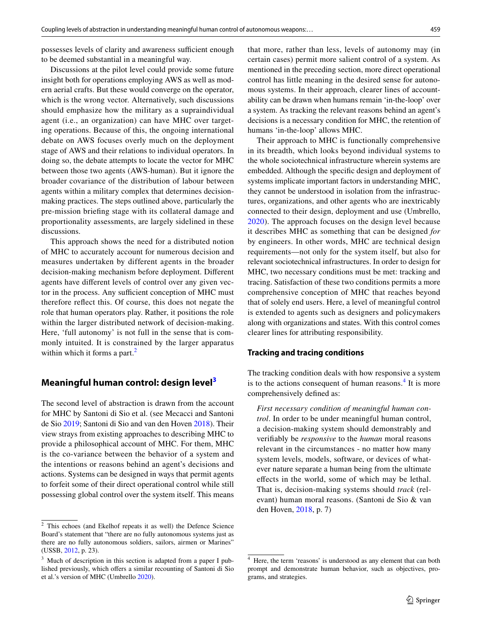possesses levels of clarity and awareness sufficient enough to be deemed substantial in a meaningful way.

Discussions at the pilot level could provide some future insight both for operations employing AWS as well as modern aerial crafts. But these would converge on the operator, which is the wrong vector. Alternatively, such discussions should emphasize how the military as a supraindividual agent (i.e., an organization) can have MHC over targeting operations. Because of this, the ongoing international debate on AWS focuses overly much on the deployment stage of AWS and their relations to individual operators. In doing so, the debate attempts to locate the vector for MHC between those two agents (AWS-human). But it ignore the broader covariance of the distribution of labour between agents within a military complex that determines decisionmaking practices. The steps outlined above, particularly the pre-mission briefng stage with its collateral damage and proportionality assessments, are largely sidelined in these discussions.

This approach shows the need for a distributed notion of MHC to accurately account for numerous decision and measures undertaken by different agents in the broader decision-making mechanism before deployment. Diferent agents have diferent levels of control over any given vector in the process. Any sufficient conception of MHC must therefore refect this. Of course, this does not negate the role that human operators play. Rather, it positions the role within the larger distributed network of decision-making. Here, 'full autonomy' is not full in the sense that is commonly intuited. It is constrained by the larger apparatus within which it forms a part.<sup>[2](#page-4-0)</sup>

# **Meaningful human control: design level[3](#page-4-1)**

The second level of abstraction is drawn from the account for MHC by Santoni di Sio et al. (see Mecacci and Santoni de Sio [2019](#page-9-6); Santoni di Sio and van den Hoven [2018](#page-9-7)). Their view strays from existing approaches to describing MHC to provide a philosophical account of MHC. For them, MHC is the co-variance between the behavior of a system and the intentions or reasons behind an agent's decisions and actions. Systems can be designed in ways that permit agents to forfeit some of their direct operational control while still possessing global control over the system itself. This means that more, rather than less, levels of autonomy may (in certain cases) permit more salient control of a system. As mentioned in the preceding section, more direct operational control has little meaning in the desired sense for autonomous systems. In their approach, clearer lines of accountability can be drawn when humans remain 'in-the-loop' over a system. As tracking the relevant reasons behind an agent's decisions is a necessary condition for MHC, the retention of humans 'in-the-loop' allows MHC.

Their approach to MHC is functionally comprehensive in its breadth, which looks beyond individual systems to the whole sociotechnical infrastructure wherein systems are embedded. Although the specifc design and deployment of systems implicate important factors in understanding MHC, they cannot be understood in isolation from the infrastructures, organizations, and other agents who are inextricably connected to their design, deployment and use (Umbrello, [2020\)](#page-9-23). The approach focuses on the design level because it describes MHC as something that can be designed *for* by engineers. In other words, MHC are technical design requirements—not only for the system itself, but also for relevant sociotechnical infrastructures. In order to design for MHC, two necessary conditions must be met: tracking and tracing. Satisfaction of these two conditions permits a more comprehensive conception of MHC that reaches beyond that of solely end users. Here, a level of meaningful control is extended to agents such as designers and policymakers along with organizations and states. With this control comes clearer lines for attributing responsibility.

### **Tracking and tracing conditions**

The tracking condition deals with how responsive a system is to the actions consequent of human reasons.<sup>[4](#page-4-2)</sup> It is more comprehensively defned as:

*First necessary condition of meaningful human control*. In order to be under meaningful human control, a decision-making system should demonstrably and verifably be *responsive* to the *human* moral reasons relevant in the circumstances - no matter how many system levels, models, software, or devices of whatever nature separate a human being from the ultimate efects in the world, some of which may be lethal. That is, decision-making systems should *track* (relevant) human moral reasons. (Santoni de Sio & van den Hoven, [2018](#page-9-7), p. 7)

<span id="page-4-0"></span><sup>2</sup> This echoes (and Ekelhof repeats it as well) the Defence Science Board's statement that "there are no fully autonomous systems just as there are no fully autonomous soldiers, sailors, airmen or Marines" (USSB, [2012](#page-9-24), p. 23).

<span id="page-4-1"></span>Much of description in this section is adapted from a paper I published previously, which offers a similar recounting of Santoni di Sio et al.'s version of MHC (Umbrello [2020\)](#page-9-23).

<span id="page-4-2"></span>Here, the term 'reasons' is understood as any element that can both prompt and demonstrate human behavior, such as objectives, programs, and strategies.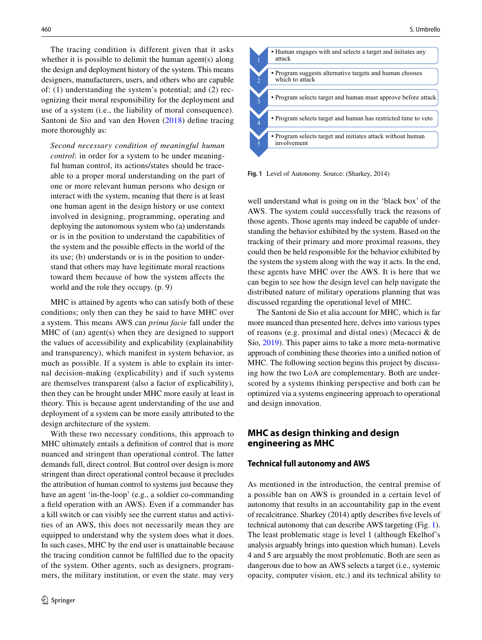The tracing condition is different given that it asks whether it is possible to delimit the human agent(s) along the design and deployment history of the system. This means designers, manufacturers, users, and others who are capable of: (1) understanding the system's potential; and (2) recognizing their moral responsibility for the deployment and use of a system (i.e., the liability of moral consequence). Santoni de Sio and van den Hoven [\(2018](#page-9-7)) defne tracing more thoroughly as:

*Second necessary condition of meaningful human control*: in order for a system to be under meaningful human control, its actions/states should be traceable to a proper moral understanding on the part of one or more relevant human persons who design or interact with the system, meaning that there is at least one human agent in the design history or use context involved in designing, programming, operating and deploying the autonomous system who (a) understands or is in the position to understand the capabilities of the system and the possible efects in the world of the its use; (b) understands or is in the position to understand that others may have legitimate moral reactions toward them because of how the system afects the world and the role they occupy. (p. 9)

MHC is attained by agents who can satisfy both of these conditions; only then can they be said to have MHC over a system. This means AWS can *prima facie* fall under the MHC of (an) agent(s) when they are designed to support the values of accessibility and explicability (explainability and transparency), which manifest in system behavior, as much as possible. If a system is able to explain its internal decision-making (explicability) and if such systems are themselves transparent (also a factor of explicability), then they can be brought under MHC more easily at least in theory. This is because agent understanding of the use and deployment of a system can be more easily attributed to the design architecture of the system.

With these two necessary conditions, this approach to MHC ultimately entails a defnition of control that is more nuanced and stringent than operational control. The latter demands full, direct control. But control over design is more stringent than direct operational control because it precludes the attribution of human control to systems just because they have an agent 'in-the-loop' (e.g., a soldier co-commanding a feld operation with an AWS). Even if a commander has a kill switch or can visibly see the current status and activities of an AWS, this does not necessarily mean they are equipped to understand why the system does what it does. In such cases, MHC by the end user is unattainable because the tracing condition cannot be fulflled due to the opacity of the system. Other agents, such as designers, programmers, the military institution, or even the state. may very



<span id="page-5-0"></span>**Fig. 1** Level of Autonomy. Source: (Sharkey, 2014)

well understand what is going on in the 'black box' of the AWS. The system could successfully track the reasons of those agents. Those agents may indeed be capable of understanding the behavior exhibited by the system. Based on the tracking of their primary and more proximal reasons, they could then be held responsible for the behavior exhibited by the system the system along with the way it acts. In the end, these agents have MHC over the AWS. It is here that we can begin to see how the design level can help navigate the distributed nature of military operations planning that was discussed regarding the operational level of MHC.

The Santoni de Sio et alia account for MHC, which is far more nuanced than presented here, delves into various types of reasons (e.g. proximal and distal ones) (Mecacci & de Sio, [2019\)](#page-9-6). This paper aims to take a more meta-normative approach of combining these theories into a unifed notion of MHC. The following section begins this project by discussing how the two LoA are complementary. Both are underscored by a systems thinking perspective and both can be optimized via a systems engineering approach to operational and design innovation.

# **MHC as design thinking and design engineering as MHC**

### **Technical full autonomy and AWS**

As mentioned in the introduction, the central premise of a possible ban on AWS is grounded in a certain level of autonomy that results in an accountability gap in the event of recalcitrance. Sharkey (2014) aptly describes fve levels of technical autonomy that can describe AWS targeting (Fig. [1](#page-5-0)). The least problematic stage is level 1 (although Ekelhof's analysis arguably brings into question which human). Levels 4 and 5 are arguably the most problematic. Both are seen as dangerous due to how an AWS selects a target (i.e., systemic opacity, computer vision, etc.) and its technical ability to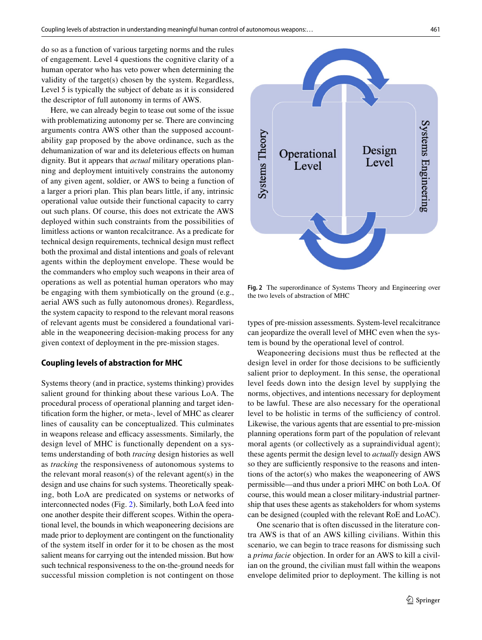do so as a function of various targeting norms and the rules of engagement. Level 4 questions the cognitive clarity of a human operator who has veto power when determining the validity of the target(s) chosen by the system. Regardless, Level 5 is typically the subject of debate as it is considered the descriptor of full autonomy in terms of AWS.

Here, we can already begin to tease out some of the issue with problematizing autonomy per se. There are convincing arguments contra AWS other than the supposed accountability gap proposed by the above ordinance, such as the dehumanization of war and its deleterious efects on human dignity. But it appears that *actual* military operations planning and deployment intuitively constrains the autonomy of any given agent, soldier, or AWS to being a function of a larger a priori plan. This plan bears little, if any, intrinsic operational value outside their functional capacity to carry out such plans. Of course, this does not extricate the AWS deployed within such constraints from the possibilities of limitless actions or wanton recalcitrance. As a predicate for technical design requirements, technical design must refect both the proximal and distal intentions and goals of relevant agents within the deployment envelope. These would be the commanders who employ such weapons in their area of operations as well as potential human operators who may be engaging with them symbiotically on the ground (e.g., aerial AWS such as fully autonomous drones). Regardless, the system capacity to respond to the relevant moral reasons of relevant agents must be considered a foundational variable in the weaponeering decision-making process for any given context of deployment in the pre-mission stages.

#### **Coupling levels of abstraction for MHC**

Systems theory (and in practice, systems thinking) provides salient ground for thinking about these various LoA. The procedural process of operational planning and target identifcation form the higher, or meta-, level of MHC as clearer lines of causality can be conceptualized. This culminates in weapons release and efficacy assessments. Similarly, the design level of MHC is functionally dependent on a systems understanding of both *tracing* design histories as well as *tracking* the responsiveness of autonomous systems to the relevant moral reason(s) of the relevant agent(s) in the design and use chains for such systems. Theoretically speaking, both LoA are predicated on systems or networks of interconnected nodes (Fig. [2](#page-6-0)). Similarly, both LoA feed into one another despite their diferent scopes. Within the operational level, the bounds in which weaponeering decisions are made prior to deployment are contingent on the functionality of the system itself in order for it to be chosen as the most salient means for carrying out the intended mission. But how such technical responsiveness to the on-the-ground needs for successful mission completion is not contingent on those



<span id="page-6-0"></span>**Fig. 2** The superordinance of Systems Theory and Engineering over the two levels of abstraction of MHC

types of pre-mission assessments. System-level recalcitrance can jeopardize the overall level of MHC even when the system is bound by the operational level of control.

Weaponeering decisions must thus be refected at the design level in order for those decisions to be sufficiently salient prior to deployment. In this sense, the operational level feeds down into the design level by supplying the norms, objectives, and intentions necessary for deployment to be lawful. These are also necessary for the operational level to be holistic in terms of the sufficiency of control. Likewise, the various agents that are essential to pre-mission planning operations form part of the population of relevant moral agents (or collectively as a supraindividual agent); these agents permit the design level to *actually* design AWS so they are sufficiently responsive to the reasons and intentions of the actor(s) who makes the weaponeering of AWS permissible—and thus under a priori MHC on both LoA. Of course, this would mean a closer military-industrial partnership that uses these agents as stakeholders for whom systems can be designed (coupled with the relevant RoE and LoAC).

One scenario that is often discussed in the literature contra AWS is that of an AWS killing civilians. Within this scenario, we can begin to trace reasons for dismissing such a *prima facie* objection. In order for an AWS to kill a civilian on the ground, the civilian must fall within the weapons envelope delimited prior to deployment. The killing is not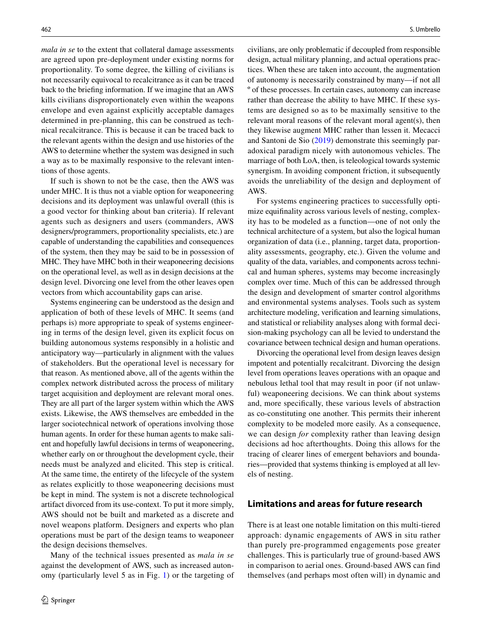*mala in se* to the extent that collateral damage assessments are agreed upon pre-deployment under existing norms for proportionality. To some degree, the killing of civilians is not necessarily equivocal to recalcitrance as it can be traced back to the briefng information. If we imagine that an AWS kills civilians disproportionately even within the weapons envelope and even against explicitly acceptable damages determined in pre-planning, this can be construed as technical recalcitrance. This is because it can be traced back to the relevant agents within the design and use histories of the AWS to determine whether the system was designed in such a way as to be maximally responsive to the relevant intentions of those agents.

If such is shown to not be the case, then the AWS was under MHC. It is thus not a viable option for weaponeering decisions and its deployment was unlawful overall (this is a good vector for thinking about ban criteria). If relevant agents such as designers and users (commanders, AWS designers/programmers, proportionality specialists, etc.) are capable of understanding the capabilities and consequences of the system, then they may be said to be in possession of MHC. They have MHC both in their weaponeering decisions on the operational level, as well as in design decisions at the design level. Divorcing one level from the other leaves open vectors from which accountability gaps can arise.

Systems engineering can be understood as the design and application of both of these levels of MHC. It seems (and perhaps is) more appropriate to speak of systems engineering in terms of the design level, given its explicit focus on building autonomous systems responsibly in a holistic and anticipatory way—particularly in alignment with the values of stakeholders. But the operational level is necessary for that reason. As mentioned above, all of the agents within the complex network distributed across the process of military target acquisition and deployment are relevant moral ones. They are all part of the larger system within which the AWS exists. Likewise, the AWS themselves are embedded in the larger sociotechnical network of operations involving those human agents. In order for these human agents to make salient and hopefully lawful decisions in terms of weaponeering, whether early on or throughout the development cycle, their needs must be analyzed and elicited. This step is critical. At the same time, the entirety of the lifecycle of the system as relates explicitly to those weaponeering decisions must be kept in mind. The system is not a discrete technological artifact divorced from its use-context. To put it more simply, AWS should not be built and marketed as a discrete and novel weapons platform. Designers and experts who plan operations must be part of the design teams to weaponeer the design decisions themselves.

Many of the technical issues presented as *mala in se* against the development of AWS, such as increased autonomy (particularly level 5 as in Fig. [1](#page-5-0)) or the targeting of civilians, are only problematic if decoupled from responsible design, actual military planning, and actual operations practices. When these are taken into account, the augmentation of autonomy is necessarily constrained by many—if not all º of these processes. In certain cases, autonomy can increase rather than decrease the ability to have MHC. If these systems are designed so as to be maximally sensitive to the relevant moral reasons of the relevant moral agent(s), then they likewise augment MHC rather than lessen it. Mecacci and Santoni de Sio ([2019\)](#page-9-6) demonstrate this seemingly paradoxical paradigm nicely with autonomous vehicles. The marriage of both LoA, then, is teleological towards systemic synergism. In avoiding component friction, it subsequently avoids the unreliability of the design and deployment of AWS.

For systems engineering practices to successfully optimize equifnality across various levels of nesting, complexity has to be modeled as a function—one of not only the technical architecture of a system, but also the logical human organization of data (i.e., planning, target data, proportionality assessments, geography, etc.). Given the volume and quality of the data, variables, and components across technical and human spheres, systems may become increasingly complex over time. Much of this can be addressed through the design and development of smarter control algorithms and environmental systems analyses. Tools such as system architecture modeling, verifcation and learning simulations, and statistical or reliability analyses along with formal decision-making psychology can all be levied to understand the covariance between technical design and human operations.

Divorcing the operational level from design leaves design impotent and potentially recalcitrant. Divorcing the design level from operations leaves operations with an opaque and nebulous lethal tool that may result in poor (if not unlawful) weaponeering decisions. We can think about systems and, more specifcally, these various levels of abstraction as co-constituting one another. This permits their inherent complexity to be modeled more easily. As a consequence, we can design *for* complexity rather than leaving design decisions ad hoc afterthoughts. Doing this allows for the tracing of clearer lines of emergent behaviors and boundaries—provided that systems thinking is employed at all levels of nesting.

# **Limitations and areas for future research**

There is at least one notable limitation on this multi-tiered approach: dynamic engagements of AWS in situ rather than purely pre-programmed engagements pose greater challenges. This is particularly true of ground-based AWS in comparison to aerial ones. Ground-based AWS can find themselves (and perhaps most often will) in dynamic and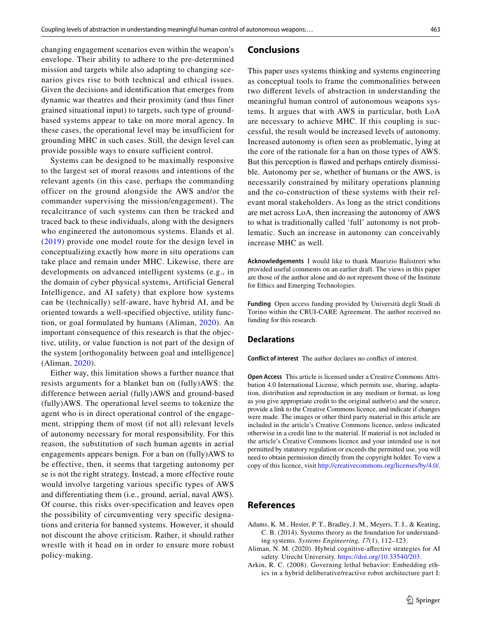changing engagement scenarios even within the weapon's envelope. Their ability to adhere to the pre-determined mission and targets while also adapting to changing scenarios gives rise to both technical and ethical issues. Given the decisions and identification that emerges from dynamic war theatres and their proximity (and thus finer grained situational input) to targets, such type of groundbased systems appear to take on more moral agency. In these cases, the operational level may be insufficient for grounding MHC in such cases. Still, the design level can provide possible ways to ensure sufficient control.

Systems can be designed to be maximally responsive to the largest set of moral reasons and intentions of the relevant agents (in this case, perhaps the commanding officer on the ground alongside the AWS and/or the commander supervising the mission/engagement). The recalcitrance of such systems can then be tracked and traced back to these individuals, along with the designers who engineered the autonomous systems. Elands et al. ([2019](#page-9-5)) provide one model route for the design level in conceptualizing exactly how more in situ operations can take place and remain under MHC. Likewise, there are developments on advanced intelligent systems (e.g., in the domain of cyber physical systems, Artificial General Intelligence, and AI safety) that explore how systems can be (technically) self-aware, have hybrid AI, and be oriented towards a well-specified objective, utility function, or goal formulated by humans (Aliman, [2020](#page-8-2)). An important consequence of this research is that the objective, utility, or value function is not part of the design of the system [orthogonality between goal and intelligence] (Aliman, [2020](#page-8-2)).

Either way, this limitation shows a further nuance that resists arguments for a blanket ban on (fully)AWS: the difference between aerial (fully)AWS and ground-based (fully)AWS. The operational level seems to tokenize the agent who is in direct operational control of the engagement, stripping them of most (if not all) relevant levels of autonomy necessary for moral responsibility. For this reason, the substitution of such human agents in aerial engagements appears benign. For a ban on (fully)AWS to be effective, then, it seems that targeting autonomy per se is not the right strategy. Instead, a more effective route would involve targeting various specific types of AWS and differentiating them (i.e., ground, aerial, naval AWS). Of course, this risks over-specification and leaves open the possibility of circumventing very specific designations and criteria for banned systems. However, it should not discount the above criticism. Rather, it should rather wrestle with it head on in order to ensure more robust policy-making.

#### **Conclusions**

This paper uses systems thinking and systems engineering as conceptual tools to frame the commonalities between two diferent levels of abstraction in understanding the meaningful human control of autonomous weapons systems. It argues that with AWS in particular, both LoA are necessary to achieve MHC. If this coupling is successful, the result would be increased levels of autonomy. Increased autonomy is often seen as problematic, lying at the core of the rationale for a ban on those types of AWS. But this perception is fawed and perhaps entirely dismissible. Autonomy per se, whether of humans or the AWS, is necessarily constrained by military operations planning and the co-construction of these systems with their relevant moral stakeholders. As long as the strict conditions are met across LoA, then increasing the autonomy of AWS to what is traditionally called 'full' autonomy is not problematic. Such an increase in autonomy can conceivably increase MHC as well.

**Acknowledgements** I would like to thank Maurizio Balistreri who provided useful comments on an earlier draft. The views in this paper are those of the author alone and do not represent those of the Institute for Ethics and Emerging Technologies.

**Funding** Open access funding provided by Università degli Studi di Torino within the CRUI-CARE Agreement. The author received no funding for this research.

#### **Declarations**

**Conflict of interest** The author declares no confict of interest.

**Open Access** This article is licensed under a Creative Commons Attribution 4.0 International License, which permits use, sharing, adaptation, distribution and reproduction in any medium or format, as long as you give appropriate credit to the original author(s) and the source, provide a link to the Creative Commons licence, and indicate if changes were made. The images or other third party material in this article are included in the article's Creative Commons licence, unless indicated otherwise in a credit line to the material. If material is not included in the article's Creative Commons licence and your intended use is not permitted by statutory regulation or exceeds the permitted use, you will need to obtain permission directly from the copyright holder. To view a copy of this licence, visit<http://creativecommons.org/licenses/by/4.0/>.

## **References**

- <span id="page-8-1"></span>Adams, K. M., Hester, P. T., Bradley, J. M., Meyers, T. J., & Keating, C. B. (2014). Systems theory as the foundation for understanding systems. *Systems Engineering, 17*(1), 112–123.
- <span id="page-8-2"></span>Aliman, N. M. (2020). Hybrid cognitive-afective strategies for AI safety. Utrecht University. <https://doi.org/10.33540/203>.
- <span id="page-8-0"></span>Arkin, R. C. (2008). Governing lethal behavior: Embedding ethics in a hybrid deliberative/reactive robot architecture part I: